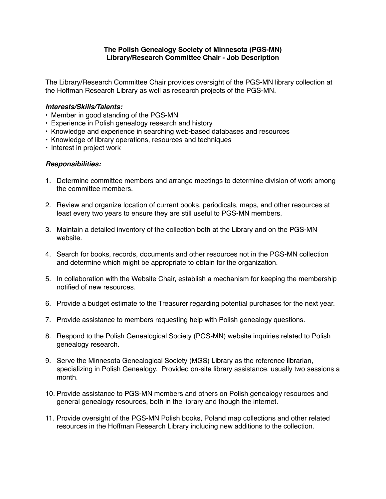## **The Polish Genealogy Society of Minnesota (PGS-MN) Library/Research Committee Chair - Job Description**

The Library/Research Committee Chair provides oversight of the PGS-MN library collection at the Hoffman Research Library as well as research projects of the PGS-MN.

## *Interests/Skills/Talents:*

- Member in good standing of the PGS-MN
- Experience in Polish genealogy research and history
- Knowledge and experience in searching web-based databases and resources
- Knowledge of library operations, resources and techniques
- Interest in project work

## *Responsibilities:*

- 1. Determine committee members and arrange meetings to determine division of work among the committee members.
- 2. Review and organize location of current books, periodicals, maps, and other resources at least every two years to ensure they are still useful to PGS-MN members.
- 3. Maintain a detailed inventory of the collection both at the Library and on the PGS-MN website.
- 4. Search for books, records, documents and other resources not in the PGS-MN collection and determine which might be appropriate to obtain for the organization.
- 5. In collaboration with the Website Chair, establish a mechanism for keeping the membership notified of new resources.
- 6. Provide a budget estimate to the Treasurer regarding potential purchases for the next year.
- 7. Provide assistance to members requesting help with Polish genealogy questions.
- 8. Respond to the Polish Genealogical Society (PGS-MN) website inquiries related to Polish genealogy research.
- 9. Serve the Minnesota Genealogical Society (MGS) Library as the reference librarian, specializing in Polish Genealogy. Provided on-site library assistance, usually two sessions a month.
- 10. Provide assistance to PGS-MN members and others on Polish genealogy resources and general genealogy resources, both in the library and though the internet.
- 11. Provide oversight of the PGS-MN Polish books, Poland map collections and other related resources in the Hoffman Research Library including new additions to the collection.